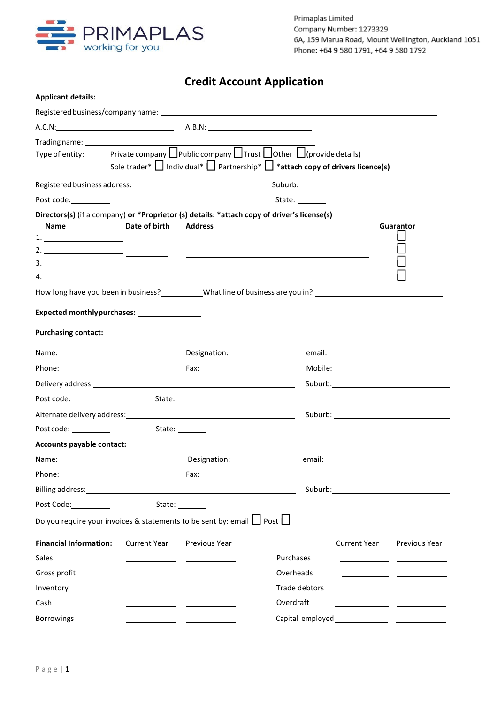

# **Credit Account Application**

| <b>Applicant details:</b>                                                                                                                                                                                                            |               |                                                                                                                       |                                                                                                                                                                                                    |                     |                                                                                                                                                                                                                                |
|--------------------------------------------------------------------------------------------------------------------------------------------------------------------------------------------------------------------------------------|---------------|-----------------------------------------------------------------------------------------------------------------------|----------------------------------------------------------------------------------------------------------------------------------------------------------------------------------------------------|---------------------|--------------------------------------------------------------------------------------------------------------------------------------------------------------------------------------------------------------------------------|
|                                                                                                                                                                                                                                      |               |                                                                                                                       |                                                                                                                                                                                                    |                     |                                                                                                                                                                                                                                |
|                                                                                                                                                                                                                                      |               |                                                                                                                       |                                                                                                                                                                                                    |                     |                                                                                                                                                                                                                                |
|                                                                                                                                                                                                                                      |               |                                                                                                                       | Type of entity: Private company Public company $\Box$ Trust $\Box$ Other $\Box$ (provide details)<br>Sole trader* $\Box$ Individual* $\Box$ Partnership* $\Box$ *attach copy of drivers licence(s) |                     |                                                                                                                                                                                                                                |
|                                                                                                                                                                                                                                      |               |                                                                                                                       |                                                                                                                                                                                                    |                     |                                                                                                                                                                                                                                |
| Post code:__________                                                                                                                                                                                                                 |               |                                                                                                                       | State:                                                                                                                                                                                             |                     |                                                                                                                                                                                                                                |
| Directors(s) (if a company) or *Proprietor (s) details: *attach copy of driver's license(s)<br><b>Name</b>                                                                                                                           | Date of birth | Address                                                                                                               | $\overline{a}$ .                                                                                                                                                                                   |                     | Guarantor                                                                                                                                                                                                                      |
|                                                                                                                                                                                                                                      |               |                                                                                                                       | How long have you been in business? ___________What line of business are you in? _____________________________                                                                                     |                     |                                                                                                                                                                                                                                |
| Expected monthlypurchases: __________________                                                                                                                                                                                        |               |                                                                                                                       |                                                                                                                                                                                                    |                     |                                                                                                                                                                                                                                |
| <b>Purchasing contact:</b>                                                                                                                                                                                                           |               |                                                                                                                       |                                                                                                                                                                                                    |                     |                                                                                                                                                                                                                                |
|                                                                                                                                                                                                                                      |               |                                                                                                                       |                                                                                                                                                                                                    |                     |                                                                                                                                                                                                                                |
|                                                                                                                                                                                                                                      |               |                                                                                                                       |                                                                                                                                                                                                    |                     |                                                                                                                                                                                                                                |
|                                                                                                                                                                                                                                      |               |                                                                                                                       |                                                                                                                                                                                                    |                     |                                                                                                                                                                                                                                |
| Post code: <u>containing</u>                                                                                                                                                                                                         |               | State: _______                                                                                                        |                                                                                                                                                                                                    |                     |                                                                                                                                                                                                                                |
| Alternate delivery address: National Alternative Control of Alternative Control of Alternative Control of Alternative Control of Alternative Control of Alternative Control of Alternative Control of Alternative Control of A       |               |                                                                                                                       |                                                                                                                                                                                                    |                     | Suburb: the contract of the contract of the contract of the contract of the contract of the contract of the contract of the contract of the contract of the contract of the contract of the contract of the contract of the co |
| Post code: <u>with a series of the series of the series of the series of the series of the series of the series of the series of the series of the series of the series of the series of the series of the series of the series </u> |               | State: 1                                                                                                              |                                                                                                                                                                                                    |                     |                                                                                                                                                                                                                                |
| Accounts payable contact:                                                                                                                                                                                                            |               |                                                                                                                       |                                                                                                                                                                                                    |                     |                                                                                                                                                                                                                                |
|                                                                                                                                                                                                                                      |               |                                                                                                                       | Designation: email:                                                                                                                                                                                |                     |                                                                                                                                                                                                                                |
|                                                                                                                                                                                                                                      |               |                                                                                                                       |                                                                                                                                                                                                    |                     |                                                                                                                                                                                                                                |
|                                                                                                                                                                                                                                      |               |                                                                                                                       |                                                                                                                                                                                                    |                     | Suburb: the contract of the contract of the contract of the contract of the contract of the contract of the contract of the contract of the contract of the contract of the contract of the contract of the contract of the co |
|                                                                                                                                                                                                                                      |               | State: _______                                                                                                        |                                                                                                                                                                                                    |                     |                                                                                                                                                                                                                                |
| Do you require your invoices & statements to be sent by: email $\Box$ Post $\Box$                                                                                                                                                    |               |                                                                                                                       |                                                                                                                                                                                                    |                     |                                                                                                                                                                                                                                |
| <b>Financial Information:</b>                                                                                                                                                                                                        | Current Year  | Previous Year                                                                                                         |                                                                                                                                                                                                    | <b>Current Year</b> | Previous Year                                                                                                                                                                                                                  |
| Sales                                                                                                                                                                                                                                |               |                                                                                                                       | Purchases                                                                                                                                                                                          |                     |                                                                                                                                                                                                                                |
| Gross profit                                                                                                                                                                                                                         |               |                                                                                                                       | Overheads                                                                                                                                                                                          |                     |                                                                                                                                                                                                                                |
| Inventory                                                                                                                                                                                                                            |               | <u> 1990 - John Harry Harry Harry Harry Harry Harry Harry Harry Harry Harry Harry Harry Harry Harry Harry Harry H</u> | Trade debtors                                                                                                                                                                                      |                     | <u> 1990 - Johann John Harry Harry Harry Harry Harry Harry Harry Harry Harry Harry Harry Harry Harry Harry Harry</u>                                                                                                           |
| Cash                                                                                                                                                                                                                                 |               |                                                                                                                       | Overdraft                                                                                                                                                                                          |                     |                                                                                                                                                                                                                                |
| Borrowings                                                                                                                                                                                                                           |               |                                                                                                                       |                                                                                                                                                                                                    |                     |                                                                                                                                                                                                                                |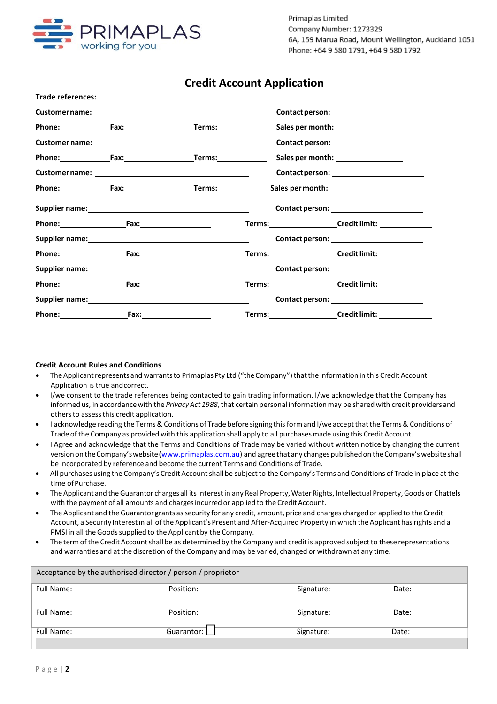

Primaplas Limited Company Number: 1273329 6A, 159 Marua Road, Mount Wellington, Auckland 1051 Phone: +64 9 580 1791, +64 9 580 1792

# **Credit Account Application**

| <b>Trade references:</b> |                                          |  |                                                          |  |
|--------------------------|------------------------------------------|--|----------------------------------------------------------|--|
|                          |                                          |  |                                                          |  |
|                          | Phone: Fax: Fax: Fax: Fax: Ferms: Ferms: |  | Sales per month: __________________                      |  |
|                          |                                          |  |                                                          |  |
|                          | Phone: Fax: Fax: Fax: Fax: Ferms: Ferms: |  | Sales per month: __________________                      |  |
|                          |                                          |  |                                                          |  |
|                          |                                          |  |                                                          |  |
|                          |                                          |  |                                                          |  |
|                          | Phone: Fax: Fax:                         |  |                                                          |  |
|                          |                                          |  | Contact person: _________________________                |  |
|                          |                                          |  |                                                          |  |
|                          |                                          |  | Contact person: <u>________________________</u>          |  |
|                          | Phone: Fax: Fax:                         |  |                                                          |  |
|                          |                                          |  | Contact person: <u>_________________________</u>         |  |
|                          |                                          |  | Terms:____________________Credit limit: ________________ |  |

# **Credit Account Rules and Conditions**

- The Applicant represents and warrants to Primaplas Pty Ltd ("the Company") that the information in this Credit Account Application is true andcorrect.
- I/we consent to the trade references being contacted to gain trading information. I/we acknowledge that the Company has informed us, in accordancewith the *PrivacyAct 1988*,that certain personal informationmay be shared with credit providers and othersto assessthis credit application.
- I acknowledge reading the Terms& Conditions of Trade before signing thisformand I/we acceptthatthe Terms& Conditions of Trade ofthe Company as provided with this application shall apply to all purchasesmade using this Credit Account.
- I Agree and acknowledge that the Terms and Conditions of Trade may be varied without written notice by changing the current version on the Company's website (www.primaplas.com.au) and agree that any changes published on the Company's website shall be incorporated by reference and become the current Terms and Conditions of Trade.
- All purchases using the Company's Credit Account shall be subject to the Company's Terms and Conditions of Trade in place at the time of Purchase.
- The Applicant and the Guarantor charges all its interest in any Real Property, Water Rights, Intellectual Property, Goods or Chattels with the payment of all amounts and chargesincurred or applied to the Credit Account.
- The Applicant and the Guarantor grants assecurity for any credit, amount, price and charges charged or applied to the Credit Account, a Security Interest in all of the Applicant's Present and After-Acquired Property in which the Applicant has rights and a PMSI in all the Goods supplied to the Applicant by the Company.
- The term of the Credit Account shall be as determined by the Company and credit is approved subject to these representations and warranties and at the discretion of the Company and may be varied, changed or withdrawn at any time.

| Acceptance by the authorised director / person / proprietor |              |            |       |  |
|-------------------------------------------------------------|--------------|------------|-------|--|
| Full Name:                                                  | Position:    | Signature: | Date: |  |
| Full Name:                                                  | Position:    | Signature: | Date: |  |
| Full Name:                                                  | Guarantor: [ | Signature: | Date: |  |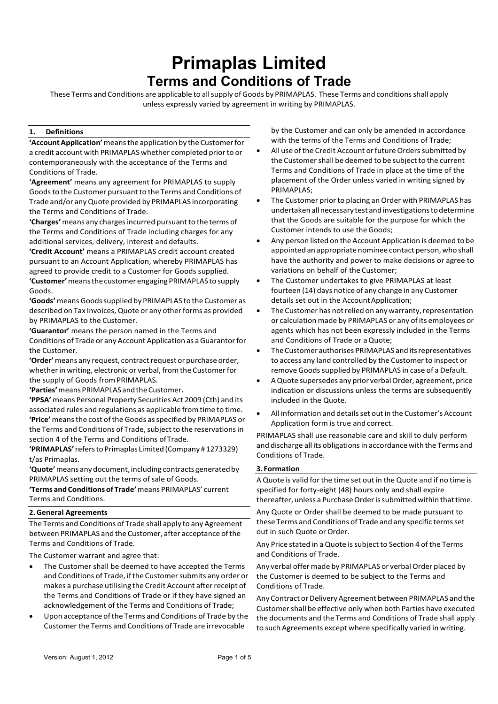# **Primaplas Limited Terms and Conditions of Trade**

These Terms and Conditions are applicable to all supply of Goods by PRIMAPLAS. These Terms and conditions shall apply unless expressly varied by agreement in writing by PRIMAPLAS.

# **1. Definitions**

**'Account Application'** means the application by the Customer for a credit account with PRIMAPLAS whether completed priorto or contemporaneously with the acceptance of the Terms and Conditions of Trade.

**'Agreement'** means any agreement for PRIMAPLAS to supply Goods to the Customer pursuant to the Terms and Conditions of Trade and/or anyQuote provided by PRIMAPLAS incorporating the Terms and Conditions of Trade.

'Charges' means any charges incurred pursuant to the terms of the Terms and Conditions of Trade including charges for any additional services, delivery, interest and defaults.

**'Credit Account'** means a PRIMAPLAS credit account created pursuant to an Account Application, whereby PRIMAPLAS has agreed to provide credit to a Customer for Goods supplied. **'Customer'**meansthecustomer engaging PRIMAPLAS to supply Goods.

**'Goods'**means Goodssupplied by PRIMAPLAS to the Customer as described on Tax Invoices, Quote or any other forms as provided by PRIMAPLAS to the Customer.

**'Guarantor'** means the person named in the Terms and Conditions of Trade or any Account Application as aGuarantorfor the Customer.

'Order' means any request, contract request or purchase order, whether in writing, electronic or verbal, from the Customer for the supply of Goods from PRIMAPLAS.

**'Parties'**means PRIMAPLAS andtheCustomer**.**

**'PPSA'**means Personal Property Securities Act 2009 (Cth) and its associated rules and regulations as applicable fromtime to time. 'Price' means the cost of the Goods as specified by PRIMAPLAS or the Terms and Conditions of Trade, subject to the reservations in section 4 of the Terms and Conditions ofTrade.

**'PRIMAPLAS'**referstoPrimaplas Limited (Company #1273329) t/as Primaplas.

'Quote' means any document, including contracts generated by PRIMAPLAS setting out the terms of sale of Goods.

**'Terms andConditions of Trade'**means PRIMAPLAS' current Terms and Conditions.

#### **2.General Agreements**

The Terms and Conditions of Trade shall apply to any Agreement between PRIMAPLAS and the Customer, after acceptance of the Terms and Conditions of Trade.

The Customer warrant and agree that:

- The Customer shall be deemed to have accepted the Terms and Conditions of Trade, if the Customer submits any order or makes a purchase utilising the Credit Account afterreceipt of the Terms and Conditions of Trade or if they have signed an acknowledgement of the Terms and Conditions of Trade;
- Upon acceptance ofthe Terms and Conditions of Trade by the Customerthe Terms and Conditions of Trade are irrevocable

by the Customer and can only be amended in accordance with the terms of the Terms and Conditions of Trade;

- All use of the Credit Account or future Orders submitted by the Customer shall be deemed to be subject to the current Terms and Conditions of Trade in place at the time of the placement of the Order unless varied in writing signed by PRIMAPLAS;
- The Customer prior to placing an Order with PRIMAPLAS has undertaken allnecessary test and investigationstodetermine that the Goods are suitable for the purpose for which the Customer intends to use the Goods;
- Any person listed on the Account Application is deemed to be appointed an appropriate nominee contact person, who shall have the authority and power to make decisions or agree to variations on behalf of the Customer;
- The Customer undertakes to give PRIMAPLAS at least fourteen (14) days notice of any change in any Customer details set out in the Account Application;
- The Customer has not relied on any warranty, representation or calculation made by PRIMAPLAS or any of its employees or agents which has not been expressly included in the Terms and Conditions of Trade or aQuote;
- The Customer authorises PRIMAPLAS and its representatives to access any land controlled by the Customerto inspect or remove Goods supplied by PRIMAPLAS in case of a Default.
- AQuote supersedes any prior verbalOrder, agreement, price indication or discussions unless the terms are subsequently included in the Quote.
- All information and details set out in the Customer's Account Application form is true and correct.

PRIMAPLAS shall use reasonable care and skill to duly perform and discharge all its obligations in accordance with the Terms and Conditions of Trade.

#### **3. Formation**

A Quote is valid forthe time set out in the Quote and if no time is specified for forty-eight (48) hours only and shall expire thereafter, unless a Purchase Order is submitted within that time.

Any Quote or Order shall be deemed to be made pursuant to these Terms and Conditions of Trade and any specific terms set out in such Quote or Order.

Any Price stated in a Quote is subject to Section 4 of the Terms and Conditions of Trade.

Any verbal offer made by PRIMAPLAS or verbal Order placed by the Customer is deemed to be subject to the Terms and Conditions of Trade.

Any Contract or Delivery Agreement between PRIMAPLAS and the Customer shall be effective only when both Parties have executed the documents and the Terms and Conditions of Trade shall apply to such Agreements except where specifically varied in writing.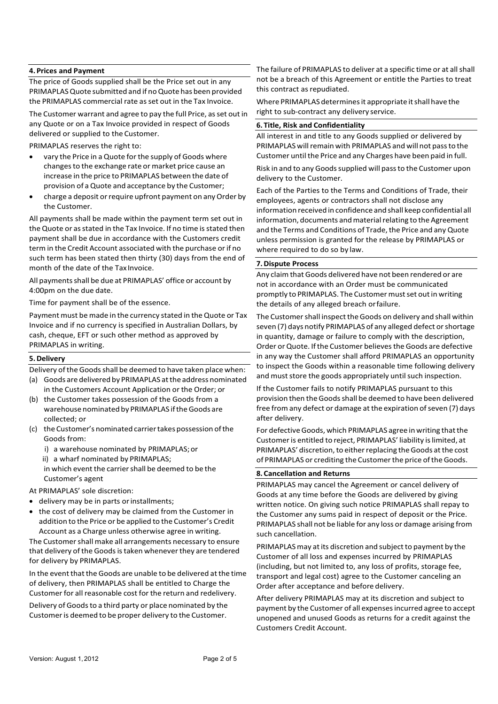### **4. Prices and Payment**

The price of Goods supplied shall be the Price set out in any PRIMAPLASQuote submitted and if noQuote has been provided the PRIMAPLAS commercial rate asset out in the Tax Invoice.

The Customer warrant and agree to pay the full Price, as set out in any Quote or on a Tax Invoice provided in respect of Goods delivered or supplied to the Customer.

PRIMAPLAS reserves the right to:

- vary the Price in a Quote for the supply of Goods where changesto the exchange rate or market price cause an increase in the price to PRIMAPLAS between the date of provision of a Quote and acceptance by the Customer;
- charge a deposit or require upfront payment on any Order by the Customer.

All payments shall be made within the payment term set out in the Quote or as stated in the Tax Invoice. If no time is stated then payment shall be due in accordance with the Customers credit term in the Credit Account associated with the purchase or if no such term has been stated then thirty (30) days from the end of month of the date of the Tax Invoice.

All payments shall be due at PRIMAPLAS' office or account by 4:00pm on the due date.

Time for payment shall be of the essence.

Payment must be made in the currency stated in the Quote or Tax Invoice and if no currency is specified in Australian Dollars, by cash, cheque, EFT or such other method as approved by PRIMAPLAS in writing.

#### **5.Delivery**

Delivery of the Goods shall be deemed to have taken place when:

- (a) Goods are delivered by PRIMAPLAS at the address nominated in the Customers Account Application or the Order; or
- (b) the Customer takes possession of the Goods from a warehouse nominated by PRIMAPLAS iftheGoods are collected; or
- (c) theCustomer's nominated carriertakes possession ofthe Goods from:
	- i) a warehouse nominated by PRIMAPLAS;or
	- ii) a wharf nominated by PRIMAPLAS;
	- in which event the carrier shall be deemed to be the Customer's agent

At PRIMAPLAS' sole discretion:

- delivery may be in parts or installments;
- the cost of delivery may be claimed from the Customer in addition to the Price or be applied to the Customer's Credit Account as a Charge unless otherwise agree in writing.

The Customer shall make all arrangements necessary to ensure that delivery of the Goods is taken whenever they are tendered for delivery by PRIMAPLAS.

In the event that the Goods are unable to be delivered at the time of delivery, then PRIMAPLAS shall be entitled to Charge the Customer for all reasonable cost for the return and redelivery.

Delivery of Goods to a third party or place nominated by the Customer is deemed to be proper delivery to the Customer.

The failure of PRIMAPLAS to deliver at a specific time or at all shall not be a breach of this Agreement or entitle the Parties to treat this contract as repudiated.

Where PRIMAPLAS determinesit appropriate itshall have the right to sub‐contract any delivery service.

#### **6. Title, Risk and Confidentiality**

All interest in and title to any Goods supplied or delivered by PRIMAPLAS will remain with PRIMAPLAS and will not pass to the Customer until the Price and any Charges have been paid in full.

Risk in and to any Goodssupplied will passto the Customer upon delivery to the Customer.

Each of the Parties to the Terms and Conditions of Trade, their employees, agents or contractors shall not disclose any information received in confidence andshall keep confidential all information, documents and material relating to the Agreement and the Terms and Conditions of Trade, the Price and any Quote unless permission is granted for the release by PRIMAPLAS or where required to do so by law.

### **7.Dispute Process**

Any claimthat Goods delivered have not been rendered or are not in accordance with an Order must be communicated promptly to PRIMAPLAS. The Customer must set out in writing the details of any alleged breach orfailure.

The Customer shall inspect the Goods on delivery and shall within seven (7) days notify PRIMAPLAS of any alleged defect orshortage in quantity, damage or failure to comply with the description, Order or Quote. If the Customer believes the Goods are defective in any way the Customer shall afford PRIMAPLAS an opportunity to inspect the Goods within a reasonable time following delivery and must store the goods appropriately until such inspection.

If the Customer fails to notify PRIMAPLAS pursuant to this provision then the Goods shall be deemed to have been delivered free from any defect or damage at the expiration of seven (7) days after delivery.

For defective Goods, which PRIMAPLAS agree in writing that the Customeris entitled to reject, PRIMAPLAS' liability islimited, at PRIMAPLAS' discretion, to either replacing the Goods at the cost of PRIMAPLAS or crediting the Customer the price of the Goods.

#### **8. Cancellation and Returns**

PRIMAPLAS may cancel the Agreement or cancel delivery of Goods at any time before the Goods are delivered by giving written notice. On giving such notice PRIMAPLAS shall repay to the Customer any sums paid in respect of deposit or the Price. PRIMAPLAS shall not be liable for any loss or damage arising from such cancellation.

PRIMAPLAS may at its discretion and subject to payment by the Customer of all loss and expenses incurred by PRIMAPLAS (including, but not limited to, any loss of profits, storage fee, transport and legal cost) agree to the Customer canceling an Order after acceptance and before delivery.

After delivery PRIMAPLAS may at its discretion and subject to payment by the Customer of all expensesincurred agree to accept unopened and unused Goods as returns for a credit against the Customers Credit Account.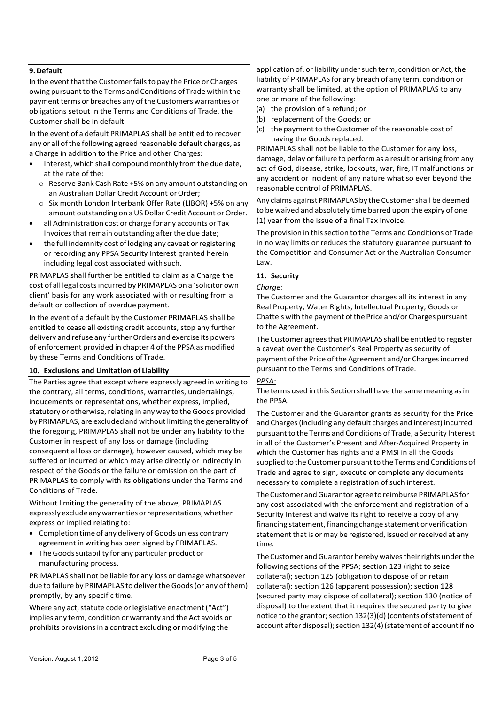# **9.Default**

In the event that the Customer fails to pay the Price or Charges owing pursuant to the Terms and Conditions of Trade within the payment terms or breaches any of the Customers warranties or obligations setout in the Terms and Conditions of Trade, the Customer shall be in default.

In the event of a default PRIMAPLAS shall be entitled to recover any or all of the following agreed reasonable default charges, as a Charge in addition to the Price and other Charges:

- Interest, which shall compound monthly from the due date, at the rate of the:
	- o Reserve Bank Cash Rate +5% on any amount outstanding on an Australian Dollar Credit Account or Order;
	- o Six month London Interbank Offer Rate (LIBOR) +5% on any amount outstanding on a US Dollar Credit Account or Order.
- all Administration cost or charge for any accounts or Tax Invoices that remain outstanding after the due date;
- the full indemnity cost of lodging any caveat or registering or recording any PPSA Security Interest granted herein including legal cost associated with such.

PRIMAPLAS shall further be entitled to claim as a Charge the cost of all legal costsincurred by PRIMAPLAS on a 'solicitor own client' basis for any work associated with or resulting from a default or collection of overdue payment.

In the event of a default by the Customer PRIMAPLAS shall be entitled to cease all existing credit accounts, stop any further delivery and refuse any further Orders and exercise its powers of enforcement provided in chapter 4 of the PPSA as modified by these Terms and Conditions of Trade.

# **10. Exclusions and Limitation of Liability**

The Parties agree that except where expressly agreed in writing to the contrary, all terms, conditions, warranties, undertakings, inducements or representations, whether express, implied, statutory or otherwise, relating in any way to the Goods provided by PRIMAPLAS, are excluded and without limiting the generality of the foregoing, PRIMAPLAS shall not be under any liability to the Customer in respect of any loss or damage (including consequential loss or damage), however caused, which may be suffered or incurred or which may arise directly or indirectly in respect of the Goods or the failure or omission on the part of PRIMAPLAS to comply with its obligations under the Terms and Conditions of Trade.

Without limiting the generality of the above, PRIMAPLAS expresslyexcludeanywarrantiesorrepresentations,whether express or implied relating to:

- Completion time of any delivery of Goods unless contrary agreement in writing has been signed by PRIMAPLAS.
- TheGoodssuitability for any particular product or manufacturing process.

PRIMAPLAS shall not be liable for any loss or damage whatsoever due to failure by PRIMAPLAS to deliver the Goods (or any of them) promptly, by any specific time.

Where any act, statute code or legislative enactment ("Act") implies any term, condition or warranty and the Act avoids or prohibits provisions in a contract excluding or modifying the

application of, or liability under such term, condition or Act, the liability of PRIMAPLAS for any breach of any term, condition or warranty shall be limited, at the option of PRIMAPLAS to any one or more of the following:

- (a) the provision of a refund; or
- (b) replacement of the Goods; or
- (c) the payment to the Customer of the reasonable cost of having the Goods replaced.

PRIMAPLAS shall not be liable to the Customer for any loss, damage, delay or failure to perform as a result or arising from any act of God, disease, strike, lockouts, war, fire, IT malfunctions or any accident or incident of any nature what so ever beyond the reasonable control of PRIMAPLAS.

Any claims against PRIMAPLAS by the Customershall be deemed to be waived and absolutely time barred upon the expiry of one (1) year from the issue of a final Tax Invoice.

The provision in thissection to the Terms and Conditions of Trade in no way limits or reduces the statutory guarantee pursuant to the Competition and Consumer Act or the Australian Consumer Law.

# **11. Security**

### *Charge:*

The Customer and the Guarantor charges all its interest in any Real Property, Water Rights, Intellectual Property, Goods or Chattelswith the payment ofthe Price and/or Charges pursuant to the Agreement.

The Customer agreesthat PRIMAPLAS shall be entitled to register a caveat over the Customer's Real Property as security of payment of the Price of the Agreement and/or Charges incurred pursuant to the Terms and Conditions ofTrade.

# *PPSA:*

The terms used in this Section shall have the same meaning as in the PPSA.

The Customer and the Guarantor grants as security for the Price and Charges (including any default charges and interest) incurred pursuant to the Terms and Conditions of Trade, a Security Interest in all of the Customer's Present and After‐Acquired Property in which the Customer has rights and a PMSI in all the Goods supplied to the Customer pursuant to the Terms and Conditions of Trade and agree to sign, execute or complete any documents necessary to complete a registration of such interest.

The Customer and Guarantor agree to reimburse PRIMAPLAS for any cost associated with the enforcement and registration of a Security Interest and waive its right to receive a copy of any financing statement, financing change statement or verification statement that is or may be registered, issued or received at any time.

The Customer and Guarantor hereby waives their rights under the following sections of the PPSA; section 123 (right to seize collateral); section 125 (obligation to dispose of or retain collateral); section 126 (apparent possession); section 128 (secured party may dispose of collateral); section 130 (notice of disposal) to the extent that it requires the secured party to give notice to the grantor; section 132(3)(d) (contents of statement of account after disposal); section 132(4) (statement of account if no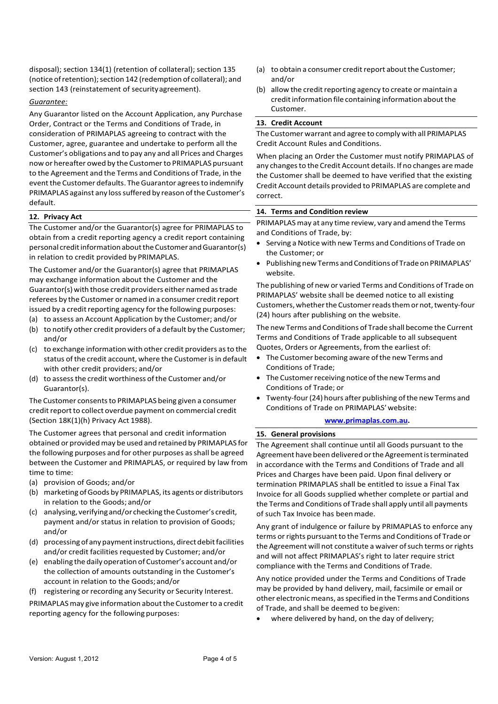disposal); section 134(1) (retention of collateral); section 135 (notice of retention); section 142 (redemption of collateral); and section 143 (reinstatement of securityagreement).

#### *Guarantee:*

Any Guarantor listed on the Account Application, any Purchase Order, Contract or the Terms and Conditions of Trade, in consideration of PRIMAPLAS agreeing to contract with the Customer, agree, guarantee and undertake to perform all the Customer's obligations and to pay any and all Prices and Charges now or hereafter owed by the Customerto PRIMAPLAS pursuant to the Agreement and the Terms and Conditions of Trade, in the event the Customer defaults. The Guarantor agrees to indemnify PRIMAPLAS against any loss suffered by reason of the Customer's default.

### **12. Privacy Act**

The Customer and/or the Guarantor(s) agree for PRIMAPLAS to obtain from a credit reporting agency a credit report containing personal credit information about the Customer and Guarantor(s) in relation to credit provided by PRIMAPLAS.

The Customer and/or the Guarantor(s) agree that PRIMAPLAS may exchange information about the Customer and the Guarantor(s)with those credit providers either named astrade referees by the Customer or named in a consumer credit report issued by a credit reporting agency for the following purposes:

- (a) to assess an Account Application by the Customer; and/or
- (b) to notify other credit providers of a default by the Customer; and/or
- (c) to exchange information with other credit providers asto the status of the credit account, where the Customer is in default with other credit providers; and/or
- (d) to assessthe credit worthiness ofthe Customer and/or Guarantor(s).

The Customer consents to PRIMAPLAS being given a consumer credit report to collect overdue payment on commercial credit (Section 18K(1)(h) Privacy Act 1988).

The Customer agrees that personal and credit information obtained or providedmay be used and retained by PRIMAPLAS for the following purposes and for other purposes as shall be agreed between the Customer and PRIMAPLAS, or required by law from time to time:

- (a) provision of Goods; and/or
- (b) marketing ofGoods by PRIMAPLAS, its agents or distributors in relation to the Goods; and/or
- (c) analysing, verifyingand/or checking theCustomer's credit, payment and/or status in relation to provision of Goods; and/or
- (d) processing of any payment instructions, direct debit facilities and/or credit facilities requested by Customer; and/or
- (e) enabling thedaily operation ofCustomer's account and/or the collection of amounts outstanding in the Customer's account in relation to the Goods;and/or
- (f) registering or recording any Security or Security Interest.

PRIMAPLAS may give information about the Customer to a credit reporting agency for the following purposes:

- (a) to obtain a consumer credit report about the Customer; and/or
- $(b)$  allow the credit reporting agency to create or maintain a credit information file containing information about the Customer.

# **13. Credit Account**

The Customer warrant and agree to comply with all PRIMAPLAS Credit Account Rules and Conditions.

When placing an Order the Customer must notify PRIMAPLAS of any changes to the Credit Account details. If no changes are made the Customer shall be deemed to have verified that the existing Credit Account details provided to PRIMAPLAS are complete and correct.

### **14. Terms and Condition review**

PRIMAPLAS may at any time review, vary and amend the Terms and Conditions of Trade, by:

- Serving a Notice with new Terms and Conditions of Trade on the Customer; or
- Publishing new Terms and Conditions of Trade on PRIMAPLAS' website.

The publishing of new or varied Terms and Conditions of Trade on PRIMAPLAS' website shall be deemed notice to all existing Customers, whether the Customer reads them or not, twenty-four (24) hours after publishing on the website.

The new Terms and Conditions of Trade shall become the Current Terms and Conditions of Trade applicable to all subsequent Quotes, Orders or Agreements, from the earliest of:

- The Customer becoming aware ofthe new Terms and Conditions of Trade;
- The Customer receiving notice of the new Terms and Conditions of Trade; or
- Twenty-four (24) hours after publishing of the new Terms and Conditions of Trade on PRIMAPLAS'website:

#### **[www.primaplas.com.au.](http://www.primaplas.com.au/)**

#### **15. General provisions**

The Agreement shall continue until all Goods pursuant to the Agreement have been delivered or the Agreement is terminated in accordance with the Terms and Conditions of Trade and all Prices and Charges have been paid. Upon final delivery or termination PRIMAPLAS shall be entitled to issue a Final Tax Invoice for all Goods supplied whether complete or partial and the Terms and Conditions of Trade shall apply until all payments of such Tax Invoice has beenmade.

Any grant of indulgence or failure by PRIMAPLAS to enforce any terms or rights pursuant to the Terms and Conditions of Trade or the Agreement will not constitute a waiver of such terms or rights and will not affect PRIMAPLAS's right to later require strict compliance with the Terms and Conditions of Trade.

Any notice provided under the Terms and Conditions of Trade may be provided by hand delivery, mail, facsimile or email or other electronic means, as specified in the Terms and Conditions of Trade, and shall be deemed to begiven:

where delivered by hand, on the day of delivery;